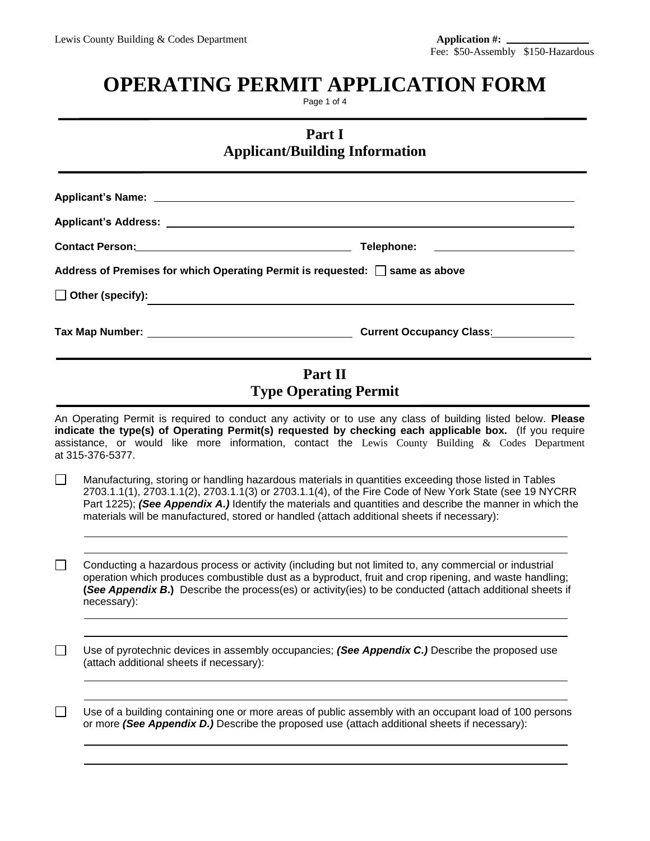# **OPERATING PERMIT APPLICATION FORM**

Page 1 of 4

**Part I Applicant/Building Information**

|        | Contact Person: New York Contact Person:                                                   | Telephone:                                                                                                                                                                                                                                                                                                                   |
|--------|--------------------------------------------------------------------------------------------|------------------------------------------------------------------------------------------------------------------------------------------------------------------------------------------------------------------------------------------------------------------------------------------------------------------------------|
|        | Address of Premises for which Operating Permit is requested: $\Box$ same as above          |                                                                                                                                                                                                                                                                                                                              |
|        | $\Box$ Other (specify):<br><u> 1980 - Andrea Andrew Maria (h. 1980).</u>                   |                                                                                                                                                                                                                                                                                                                              |
|        |                                                                                            |                                                                                                                                                                                                                                                                                                                              |
|        |                                                                                            | Part II<br><b>Type Operating Permit</b>                                                                                                                                                                                                                                                                                      |
|        | at 315-376-5377.                                                                           | An Operating Permit is required to conduct any activity or to use any class of building listed below. Please<br>indicate the type(s) of Operating Permit(s) requested by checking each applicable box. (If you require<br>assistance, or would like more information, contact the Lewis County Building & Codes Department   |
|        |                                                                                            |                                                                                                                                                                                                                                                                                                                              |
| $\Box$ | materials will be manufactured, stored or handled (attach additional sheets if necessary): | Manufacturing, storing or handling hazardous materials in quantities exceeding those listed in Tables<br>2703.1.1(1), 2703.1.1(2), 2703.1.1(3) or 2703.1.1(4), of the Fire Code of New York State (see 19 NYCRR<br>Part 1225); (See Appendix A.) Identify the materials and quantities and describe the manner in which the  |
|        | necessary):                                                                                | Conducting a hazardous process or activity (including but not limited to, any commercial or industrial<br>operation which produces combustible dust as a byproduct, fruit and crop ripening, and waste handling;<br>(See Appendix B.) Describe the process(es) or activity(ies) to be conducted (attach additional sheets if |
|        | (attach additional sheets if necessary):                                                   | Use of pyrotechnic devices in assembly occupancies; (See Appendix C.) Describe the proposed use                                                                                                                                                                                                                              |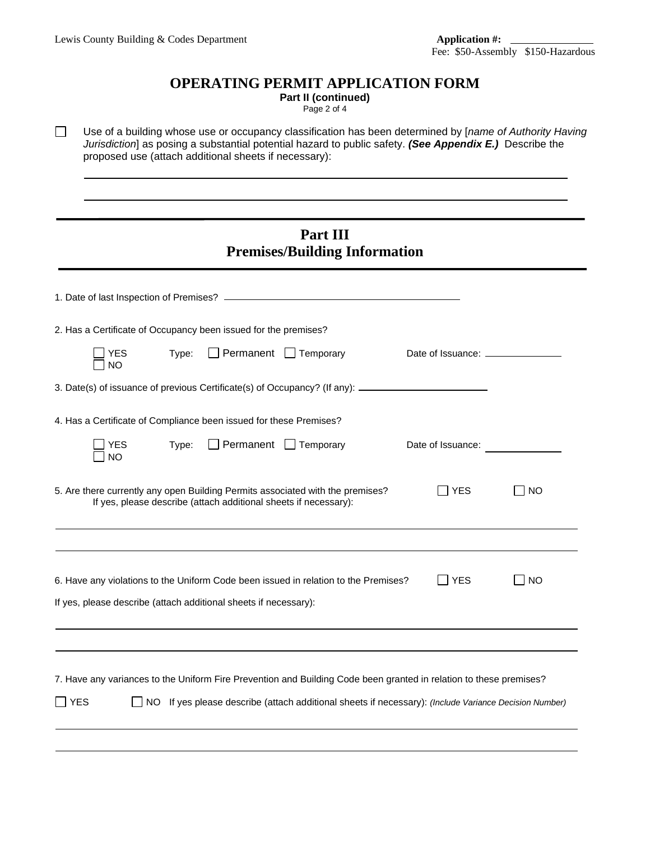$\Box$ 

#### **OPERATING PERMIT APPLICATION FORM**

**Part II (continued)** Page 2 of 4

Use of a building whose use or occupancy classification has been determined by [*name of Authority Having Jurisdiction*] as posing a substantial potential hazard to public safety. *(See Appendix E.)* Describe the proposed use (attach additional sheets if necessary):

### **Part III Premises/Building Information**

| 2. Has a Certificate of Occupancy been issued for the premises?                                                                                                                                                                               |                   |           |
|-----------------------------------------------------------------------------------------------------------------------------------------------------------------------------------------------------------------------------------------------|-------------------|-----------|
| $\Box$ Permanent $\Box$ Temporary<br>Type:<br><b>YES</b><br>NO                                                                                                                                                                                |                   |           |
| 3. Date(s) of issuance of previous Certificate(s) of Occupancy? (If any): __________________________                                                                                                                                          |                   |           |
| 4. Has a Certificate of Compliance been issued for these Premises?                                                                                                                                                                            |                   |           |
| $\Box$ Permanent $\Box$ Temporary<br>Type:<br>YES<br><b>NO</b>                                                                                                                                                                                | Date of Issuance: |           |
| 5. Are there currently any open Building Permits associated with the premises?<br>If yes, please describe (attach additional sheets if necessary):                                                                                            | <b>YES</b>        | <b>NO</b> |
|                                                                                                                                                                                                                                               |                   |           |
| 6. Have any violations to the Uniform Code been issued in relation to the Premises?<br>If yes, please describe (attach additional sheets if necessary):                                                                                       | <b>YES</b>        | <b>NO</b> |
|                                                                                                                                                                                                                                               |                   |           |
| 7. Have any variances to the Uniform Fire Prevention and Building Code been granted in relation to these premises?<br><b>YES</b><br>If yes please describe (attach additional sheets if necessary): (Include Variance Decision Number)<br>NO. |                   |           |
|                                                                                                                                                                                                                                               |                   |           |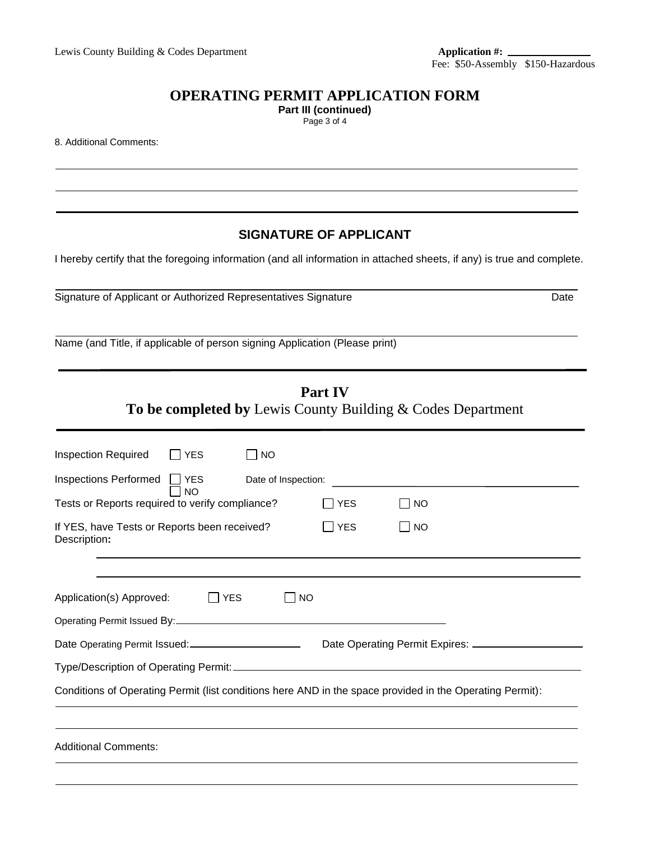### **OPERATING PERMIT APPLICATION FORM**

**Part III (continued)**

Page 3 of 4

8. Additional Comments:

#### **SIGNATURE OF APPLICANT**

I hereby certify that the foregoing information (and all information in attached sheets, if any) is true and complete.

Signature of Applicant or Authorized Representatives Signature Date

Name (and Title, if applicable of person signing Application (Please print)

# **Part IV**

#### **To be completed by** Lewis County Building & Codes Department

| <b>Inspection Required</b><br>l IYES<br>NO                                                               |            |                                |  |  |  |  |
|----------------------------------------------------------------------------------------------------------|------------|--------------------------------|--|--|--|--|
| Inspections Performed □ YES<br>Date of Inspection:<br><b>NO</b>                                          |            |                                |  |  |  |  |
| Tests or Reports required to verify compliance?                                                          | <b>YES</b> | <b>NO</b>                      |  |  |  |  |
| If YES, have Tests or Reports been received?<br>Description:                                             | <b>YES</b> | <b>NO</b>                      |  |  |  |  |
| Application(s) Approved:<br><b>I</b> YES<br>NO                                                           |            |                                |  |  |  |  |
|                                                                                                          |            |                                |  |  |  |  |
|                                                                                                          |            | Date Operating Permit Expires: |  |  |  |  |
|                                                                                                          |            |                                |  |  |  |  |
| Conditions of Operating Permit (list conditions here AND in the space provided in the Operating Permit): |            |                                |  |  |  |  |
|                                                                                                          |            |                                |  |  |  |  |
| <b>Additional Comments:</b>                                                                              |            |                                |  |  |  |  |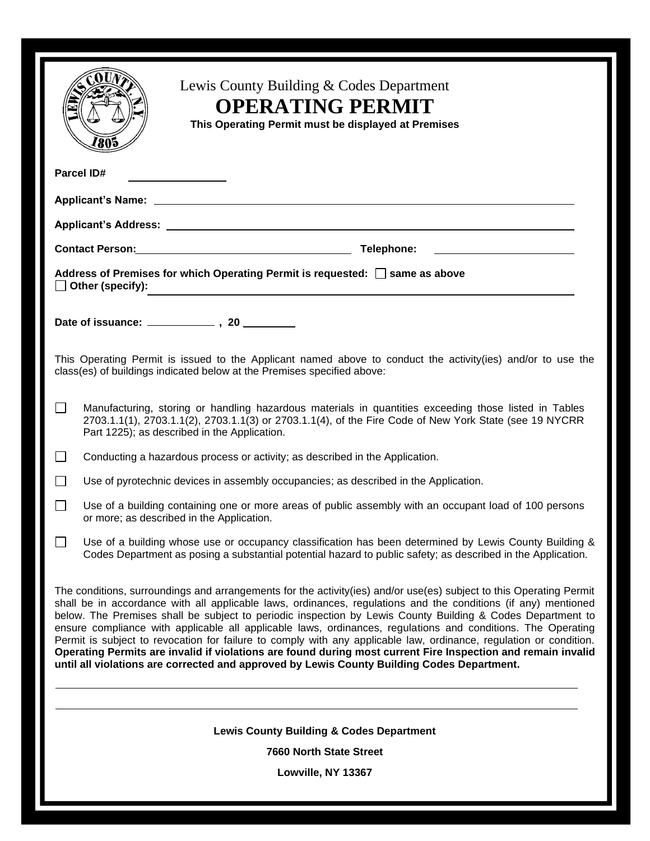| Lewis County Building & Codes Department<br><b>OPERATING PERMIT</b><br>This Operating Permit must be displayed at Premises                                                                                                                                                                                                                                                                                                                                                                                                                                                                                                                                                                                                                                                                                |  |  |  |  |  |
|-----------------------------------------------------------------------------------------------------------------------------------------------------------------------------------------------------------------------------------------------------------------------------------------------------------------------------------------------------------------------------------------------------------------------------------------------------------------------------------------------------------------------------------------------------------------------------------------------------------------------------------------------------------------------------------------------------------------------------------------------------------------------------------------------------------|--|--|--|--|--|
| <b>Parcel ID#</b><br><u> 1990 - John Barn Barn, mars a</u>                                                                                                                                                                                                                                                                                                                                                                                                                                                                                                                                                                                                                                                                                                                                                |  |  |  |  |  |
|                                                                                                                                                                                                                                                                                                                                                                                                                                                                                                                                                                                                                                                                                                                                                                                                           |  |  |  |  |  |
|                                                                                                                                                                                                                                                                                                                                                                                                                                                                                                                                                                                                                                                                                                                                                                                                           |  |  |  |  |  |
| Contact Person: Contact Person: Contact Person: Contact Person: Contact Person:                                                                                                                                                                                                                                                                                                                                                                                                                                                                                                                                                                                                                                                                                                                           |  |  |  |  |  |
| Address of Premises for which Operating Permit is requested: Same as above<br>$\Box$ Other (specify):                                                                                                                                                                                                                                                                                                                                                                                                                                                                                                                                                                                                                                                                                                     |  |  |  |  |  |
|                                                                                                                                                                                                                                                                                                                                                                                                                                                                                                                                                                                                                                                                                                                                                                                                           |  |  |  |  |  |
| This Operating Permit is issued to the Applicant named above to conduct the activity(ies) and/or to use the<br>class(es) of buildings indicated below at the Premises specified above:                                                                                                                                                                                                                                                                                                                                                                                                                                                                                                                                                                                                                    |  |  |  |  |  |
| Manufacturing, storing or handling hazardous materials in quantities exceeding those listed in Tables<br>2703.1.1(1), 2703.1.1(2), 2703.1.1(3) or 2703.1.1(4), of the Fire Code of New York State (see 19 NYCRR<br>Part 1225); as described in the Application.                                                                                                                                                                                                                                                                                                                                                                                                                                                                                                                                           |  |  |  |  |  |
| Conducting a hazardous process or activity; as described in the Application.                                                                                                                                                                                                                                                                                                                                                                                                                                                                                                                                                                                                                                                                                                                              |  |  |  |  |  |
| Use of pyrotechnic devices in assembly occupancies; as described in the Application.                                                                                                                                                                                                                                                                                                                                                                                                                                                                                                                                                                                                                                                                                                                      |  |  |  |  |  |
| Use of a building containing one or more areas of public assembly with an occupant load of 100 persons<br>$\mathbf{1}$<br>or more; as described in the Application.                                                                                                                                                                                                                                                                                                                                                                                                                                                                                                                                                                                                                                       |  |  |  |  |  |
| Use of a building whose use or occupancy classification has been determined by Lewis County Building &<br>Codes Department as posing a substantial potential hazard to public safety; as described in the Application.                                                                                                                                                                                                                                                                                                                                                                                                                                                                                                                                                                                    |  |  |  |  |  |
| The conditions, surroundings and arrangements for the activity (ies) and/or use (es) subject to this Operating Permit<br>shall be in accordance with all applicable laws, ordinances, regulations and the conditions (if any) mentioned<br>below. The Premises shall be subject to periodic inspection by Lewis County Building & Codes Department to<br>ensure compliance with applicable all applicable laws, ordinances, regulations and conditions. The Operating<br>Permit is subject to revocation for failure to comply with any applicable law, ordinance, regulation or condition.<br>Operating Permits are invalid if violations are found during most current Fire Inspection and remain invalid<br>until all violations are corrected and approved by Lewis County Building Codes Department. |  |  |  |  |  |
| <b>Lewis County Building &amp; Codes Department</b>                                                                                                                                                                                                                                                                                                                                                                                                                                                                                                                                                                                                                                                                                                                                                       |  |  |  |  |  |
| <b>7660 North State Street</b>                                                                                                                                                                                                                                                                                                                                                                                                                                                                                                                                                                                                                                                                                                                                                                            |  |  |  |  |  |
| Lowville, NY 13367                                                                                                                                                                                                                                                                                                                                                                                                                                                                                                                                                                                                                                                                                                                                                                                        |  |  |  |  |  |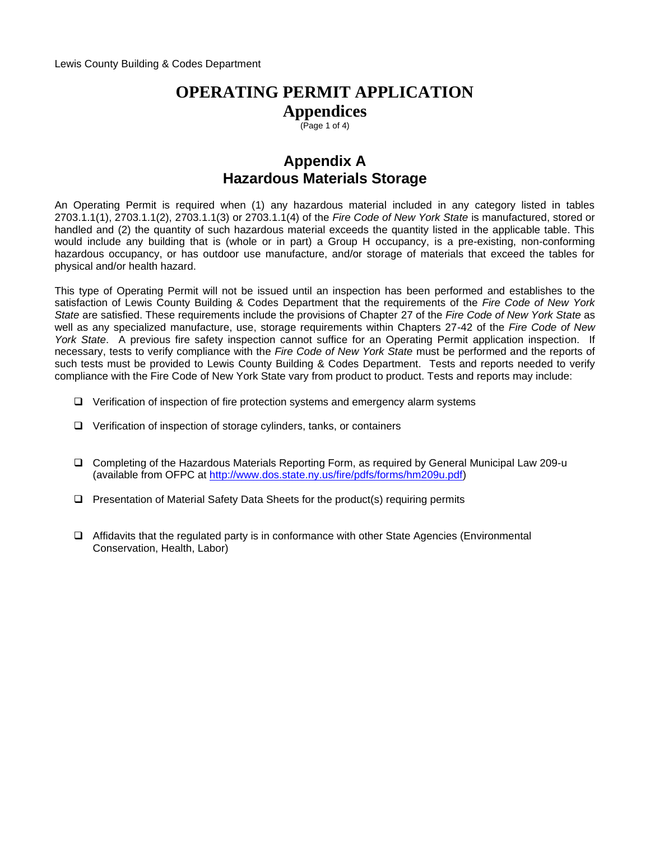$(Page 1 of 4)$ 

## **Appendix A Hazardous Materials Storage**

An Operating Permit is required when (1) any hazardous material included in any category listed in tables 2703.1.1(1), 2703.1.1(2), 2703.1.1(3) or 2703.1.1(4) of the *Fire Code of New York State* is manufactured, stored or handled and (2) the quantity of such hazardous material exceeds the quantity listed in the applicable table. This would include any building that is (whole or in part) a Group H occupancy, is a pre-existing, non-conforming hazardous occupancy, or has outdoor use manufacture, and/or storage of materials that exceed the tables for physical and/or health hazard.

This type of Operating Permit will not be issued until an inspection has been performed and establishes to the satisfaction of Lewis County Building & Codes Department that the requirements of the *Fire Code of New York State* are satisfied. These requirements include the provisions of Chapter 27 of the *Fire Code of New York State* as well as any specialized manufacture, use, storage requirements within Chapters 27-42 of the *Fire Code of New York State*. A previous fire safety inspection cannot suffice for an Operating Permit application inspection. If necessary, tests to verify compliance with the *Fire Code of New York State* must be performed and the reports of such tests must be provided to Lewis County Building & Codes Department. Tests and reports needed to verify compliance with the Fire Code of New York State vary from product to product. Tests and reports may include:

- ❑ Verification of inspection of fire protection systems and emergency alarm systems
- ❑ Verification of inspection of storage cylinders, tanks, or containers
- ❑ Completing of the Hazardous Materials Reporting Form, as required by General Municipal Law 209-u (available from OFPC at [http://www.dos.state.ny.us/fire/pdfs/forms/hm209u.pdf\)](http://www.dos.state.ny.us/fire/pdfs/forms/hm209u.pdf)
- ❑ Presentation of Material Safety Data Sheets for the product(s) requiring permits
- ❑ Affidavits that the regulated party is in conformance with other State Agencies (Environmental Conservation, Health, Labor)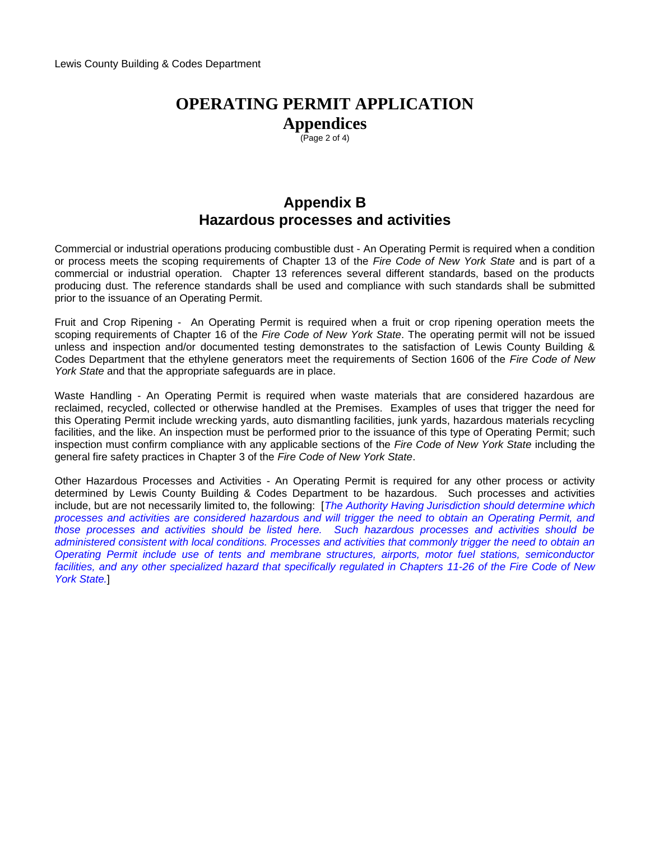$\overline{(P}$ age 2 of 4)

## **Appendix B Hazardous processes and activities**

Commercial or industrial operations producing combustible dust - An Operating Permit is required when a condition or process meets the scoping requirements of Chapter 13 of the *Fire Code of New York State* and is part of a commercial or industrial operation. Chapter 13 references several different standards, based on the products producing dust. The reference standards shall be used and compliance with such standards shall be submitted prior to the issuance of an Operating Permit.

Fruit and Crop Ripening - An Operating Permit is required when a fruit or crop ripening operation meets the scoping requirements of Chapter 16 of the *Fire Code of New York State*. The operating permit will not be issued unless and inspection and/or documented testing demonstrates to the satisfaction of Lewis County Building & Codes Department that the ethylene generators meet the requirements of Section 1606 of the *Fire Code of New York State* and that the appropriate safeguards are in place.

Waste Handling - An Operating Permit is required when waste materials that are considered hazardous are reclaimed, recycled, collected or otherwise handled at the Premises. Examples of uses that trigger the need for this Operating Permit include wrecking yards, auto dismantling facilities, junk yards, hazardous materials recycling facilities, and the like. An inspection must be performed prior to the issuance of this type of Operating Permit; such inspection must confirm compliance with any applicable sections of the *Fire Code of New York State* including the general fire safety practices in Chapter 3 of the *Fire Code of New York State*.

Other Hazardous Processes and Activities - An Operating Permit is required for any other process or activity determined by Lewis County Building & Codes Department to be hazardous. Such processes and activities include, but are not necessarily limited to, the following: [*The Authority Having Jurisdiction should determine which processes and activities are considered hazardous and will trigger the need to obtain an Operating Permit, and those processes and activities should be listed here. Such hazardous processes and activities should be administered consistent with local conditions. Processes and activities that commonly trigger the need to obtain an Operating Permit include use of tents and membrane structures, airports, motor fuel stations, semiconductor facilities, and any other specialized hazard that specifically regulated in Chapters 11-26 of the Fire Code of New York State.*]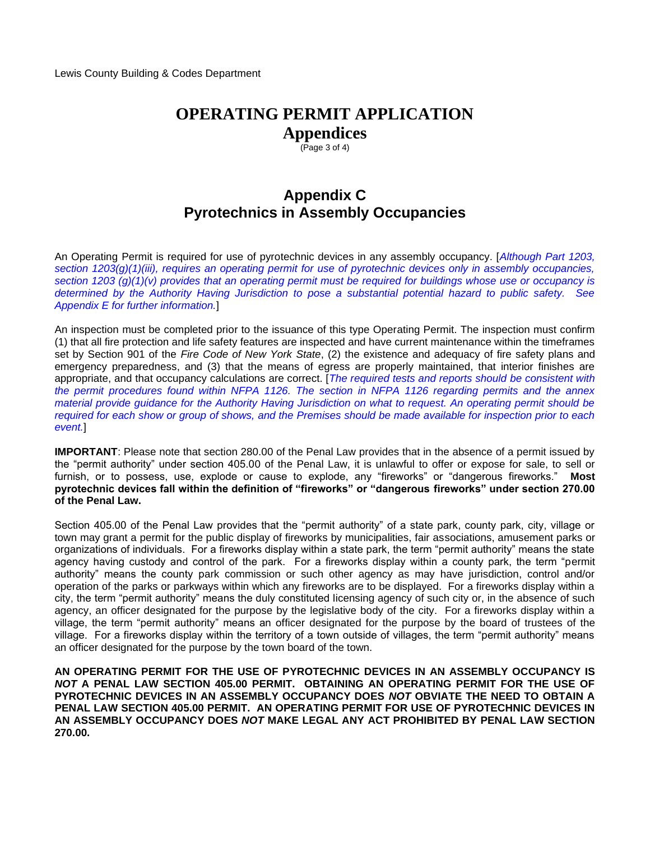$(Page 3 of 4)$ 

## **Appendix C Pyrotechnics in Assembly Occupancies**

An Operating Permit is required for use of pyrotechnic devices in any assembly occupancy. [*Although Part 1203, section 1203(g)(1)(iii), requires an operating permit for use of pyrotechnic devices only in assembly occupancies, section 1203 (g)(1)(v) provides that an operating permit must be required for buildings whose use or occupancy is determined by the Authority Having Jurisdiction to pose a substantial potential hazard to public safety. See Appendix E for further information.*]

An inspection must be completed prior to the issuance of this type Operating Permit. The inspection must confirm (1) that all fire protection and life safety features are inspected and have current maintenance within the timeframes set by Section 901 of the *Fire Code of New York State*, (2) the existence and adequacy of fire safety plans and emergency preparedness, and (3) that the means of egress are properly maintained, that interior finishes are appropriate, and that occupancy calculations are correct. [*The required tests and reports should be consistent with the permit procedures found within NFPA 1126. The section in NFPA 1126 regarding permits and the annex material provide guidance for the Authority Having Jurisdiction on what to request. An operating permit should be required for each show or group of shows, and the Premises should be made available for inspection prior to each event.*]

**IMPORTANT**: Please note that section 280.00 of the Penal Law provides that in the absence of a permit issued by the "permit authority" under section 405.00 of the Penal Law, it is unlawful to offer or expose for sale, to sell or furnish, or to possess, use, explode or cause to explode, any "fireworks" or "dangerous fireworks." **Most pyrotechnic devices fall within the definition of "fireworks" or "dangerous fireworks" under section 270.00 of the Penal Law.** 

Section 405.00 of the Penal Law provides that the "permit authority" of a state park, county park, city, village or town may grant a permit for the public display of fireworks by municipalities, fair associations, amusement parks or organizations of individuals. For a fireworks display within a state park, the term "permit authority" means the state agency having custody and control of the park. For a fireworks display within a county park, the term "permit authority" means the county park commission or such other agency as may have jurisdiction, control and/or operation of the parks or parkways within which any fireworks are to be displayed. For a fireworks display within a city, the term "permit authority" means the duly constituted licensing agency of such city or, in the absence of such agency, an officer designated for the purpose by the legislative body of the city. For a fireworks display within a village, the term "permit authority" means an officer designated for the purpose by the board of trustees of the village. For a fireworks display within the territory of a town outside of villages, the term "permit authority" means an officer designated for the purpose by the town board of the town.

**AN OPERATING PERMIT FOR THE USE OF PYROTECHNIC DEVICES IN AN ASSEMBLY OCCUPANCY IS**  *NOT* **A PENAL LAW SECTION 405.00 PERMIT. OBTAINING AN OPERATING PERMIT FOR THE USE OF PYROTECHNIC DEVICES IN AN ASSEMBLY OCCUPANCY DOES** *NOT* **OBVIATE THE NEED TO OBTAIN A PENAL LAW SECTION 405.00 PERMIT. AN OPERATING PERMIT FOR USE OF PYROTECHNIC DEVICES IN AN ASSEMBLY OCCUPANCY DOES** *NOT* **MAKE LEGAL ANY ACT PROHIBITED BY PENAL LAW SECTION 270.00.**